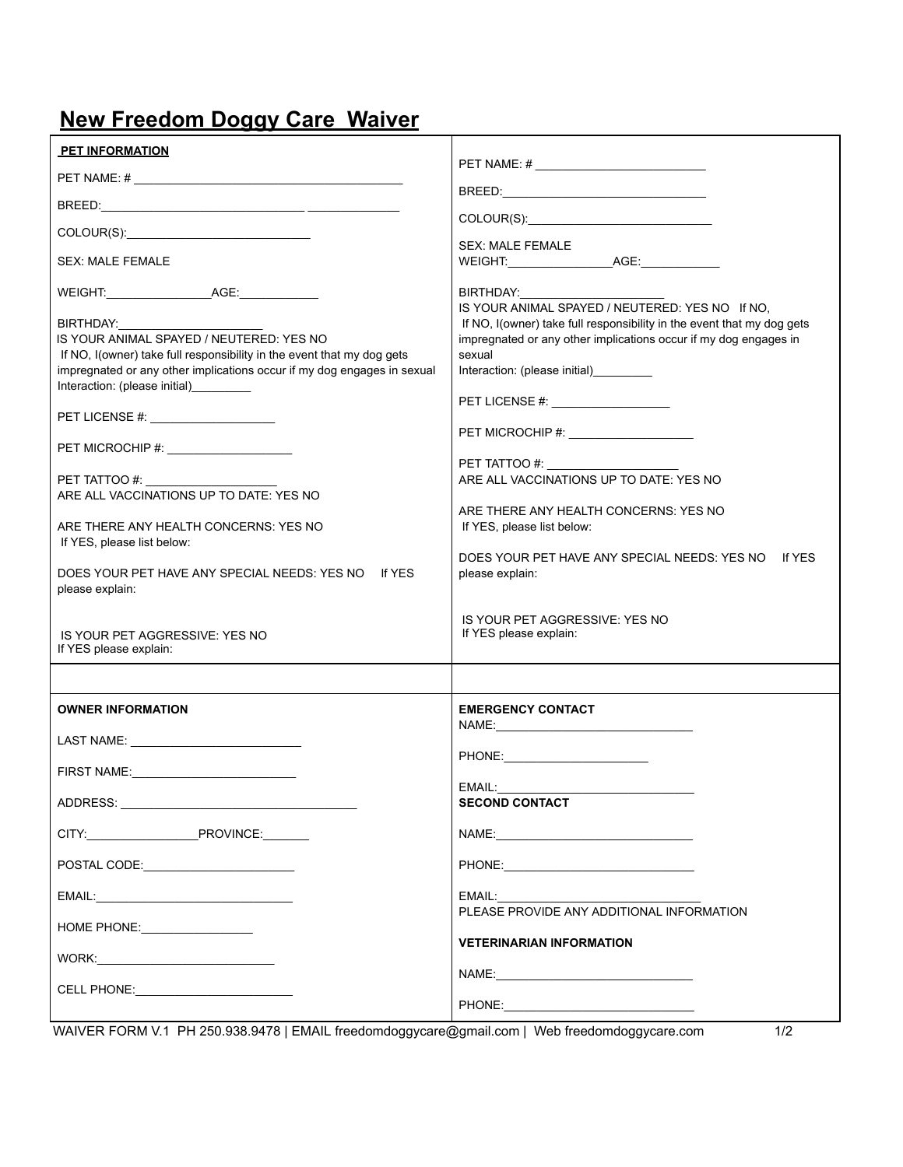## **New Freedom Doggy Care Waiver**

| <b>PET INFORMATION</b>                                                                                                                                                                                                                                                                                                                                                                                                                                                                                                                                                                                                                                                                                                                                         |                                                                                                                                                                                                                                                                                                                                                                                                                                                                                                                     |
|----------------------------------------------------------------------------------------------------------------------------------------------------------------------------------------------------------------------------------------------------------------------------------------------------------------------------------------------------------------------------------------------------------------------------------------------------------------------------------------------------------------------------------------------------------------------------------------------------------------------------------------------------------------------------------------------------------------------------------------------------------------|---------------------------------------------------------------------------------------------------------------------------------------------------------------------------------------------------------------------------------------------------------------------------------------------------------------------------------------------------------------------------------------------------------------------------------------------------------------------------------------------------------------------|
|                                                                                                                                                                                                                                                                                                                                                                                                                                                                                                                                                                                                                                                                                                                                                                |                                                                                                                                                                                                                                                                                                                                                                                                                                                                                                                     |
|                                                                                                                                                                                                                                                                                                                                                                                                                                                                                                                                                                                                                                                                                                                                                                |                                                                                                                                                                                                                                                                                                                                                                                                                                                                                                                     |
|                                                                                                                                                                                                                                                                                                                                                                                                                                                                                                                                                                                                                                                                                                                                                                |                                                                                                                                                                                                                                                                                                                                                                                                                                                                                                                     |
| <b>SEX: MALE FEMALE</b>                                                                                                                                                                                                                                                                                                                                                                                                                                                                                                                                                                                                                                                                                                                                        | <b>SEX: MALE FEMALE</b>                                                                                                                                                                                                                                                                                                                                                                                                                                                                                             |
| WEIGHT: AGE: AGE:<br>BIRTHDAY:<br>IS YOUR ANIMAL SPAYED / NEUTERED: YES NO<br>If NO, I(owner) take full responsibility in the event that my dog gets<br>impregnated or any other implications occur if my dog engages in sexual<br>Interaction: (please initial) [1994]<br>PET LICENSE #: _____________________<br>PET MICROCHIP #: \\cdot \\cdot \\cdot \\cdot \\cdot \\cdot \\cdot \\cdot \\cdot \\cdot \\cdot \\cdot \\cdot \\cdot \\cdot \\cdot \\cdot \\cdot \\cdot \\cdot \\cdot \\cdot \\cdot \\cdot \\cdot \\cdot \\cdot \\cdot \\cdot \\<br>PET TATTOO #:<br>ARE ALL VACCINATIONS UP TO DATE: YES NO<br>ARE THERE ANY HEALTH CONCERNS: YES NO<br>If YES, please list below:<br>DOES YOUR PET HAVE ANY SPECIAL NEEDS: YES NO If YES<br>please explain: | BIRTHDAY:<br>IS YOUR ANIMAL SPAYED / NEUTERED: YES NO If NO,<br>If NO, I (owner) take full responsibility in the event that my dog gets<br>impregnated or any other implications occur if my dog engages in<br>sexual<br>Interaction: (please initial)_________<br>PET LICENSE #: ____________________<br>PET TATTOO #:<br>ARE ALL VACCINATIONS UP TO DATE: YES NO<br>ARE THERE ANY HEALTH CONCERNS: YES NO<br>If YES, please list below:<br>DOES YOUR PET HAVE ANY SPECIAL NEEDS: YES NO If YES<br>please explain: |
| IS YOUR PET AGGRESSIVE: YES NO<br>If YES please explain:                                                                                                                                                                                                                                                                                                                                                                                                                                                                                                                                                                                                                                                                                                       | IS YOUR PET AGGRESSIVE: YES NO<br>If YES please explain:                                                                                                                                                                                                                                                                                                                                                                                                                                                            |
|                                                                                                                                                                                                                                                                                                                                                                                                                                                                                                                                                                                                                                                                                                                                                                |                                                                                                                                                                                                                                                                                                                                                                                                                                                                                                                     |
| <b>OWNER INFORMATION</b>                                                                                                                                                                                                                                                                                                                                                                                                                                                                                                                                                                                                                                                                                                                                       | <b>EMERGENCY CONTACT</b>                                                                                                                                                                                                                                                                                                                                                                                                                                                                                            |
|                                                                                                                                                                                                                                                                                                                                                                                                                                                                                                                                                                                                                                                                                                                                                                |                                                                                                                                                                                                                                                                                                                                                                                                                                                                                                                     |
|                                                                                                                                                                                                                                                                                                                                                                                                                                                                                                                                                                                                                                                                                                                                                                | PHONE: PHONE                                                                                                                                                                                                                                                                                                                                                                                                                                                                                                        |
| ADDRESS. AND A STRIKE AND A STRIKE AND A STRIKE AND A STRIKE AND A STRIKE AND A STRIKE AND A STRIKE AND A STRIKE                                                                                                                                                                                                                                                                                                                                                                                                                                                                                                                                                                                                                                               | EMAIL:<br><b>SECOND CONTACT</b>                                                                                                                                                                                                                                                                                                                                                                                                                                                                                     |
|                                                                                                                                                                                                                                                                                                                                                                                                                                                                                                                                                                                                                                                                                                                                                                |                                                                                                                                                                                                                                                                                                                                                                                                                                                                                                                     |
|                                                                                                                                                                                                                                                                                                                                                                                                                                                                                                                                                                                                                                                                                                                                                                |                                                                                                                                                                                                                                                                                                                                                                                                                                                                                                                     |
|                                                                                                                                                                                                                                                                                                                                                                                                                                                                                                                                                                                                                                                                                                                                                                | EMAIL:                                                                                                                                                                                                                                                                                                                                                                                                                                                                                                              |
| HOME PHONE: __________________                                                                                                                                                                                                                                                                                                                                                                                                                                                                                                                                                                                                                                                                                                                                 | PLEASE PROVIDE ANY ADDITIONAL INFORMATION                                                                                                                                                                                                                                                                                                                                                                                                                                                                           |
|                                                                                                                                                                                                                                                                                                                                                                                                                                                                                                                                                                                                                                                                                                                                                                | <b>VETERINARIAN INFORMATION</b>                                                                                                                                                                                                                                                                                                                                                                                                                                                                                     |
| CELL PHONE: CELL PHONE                                                                                                                                                                                                                                                                                                                                                                                                                                                                                                                                                                                                                                                                                                                                         |                                                                                                                                                                                                                                                                                                                                                                                                                                                                                                                     |
|                                                                                                                                                                                                                                                                                                                                                                                                                                                                                                                                                                                                                                                                                                                                                                |                                                                                                                                                                                                                                                                                                                                                                                                                                                                                                                     |

WAIVER FORM V.1 PH 250.938.9478 | EMAIL freedomdoggycare@gmail.com | Web freedomdoggycare.com 1/2